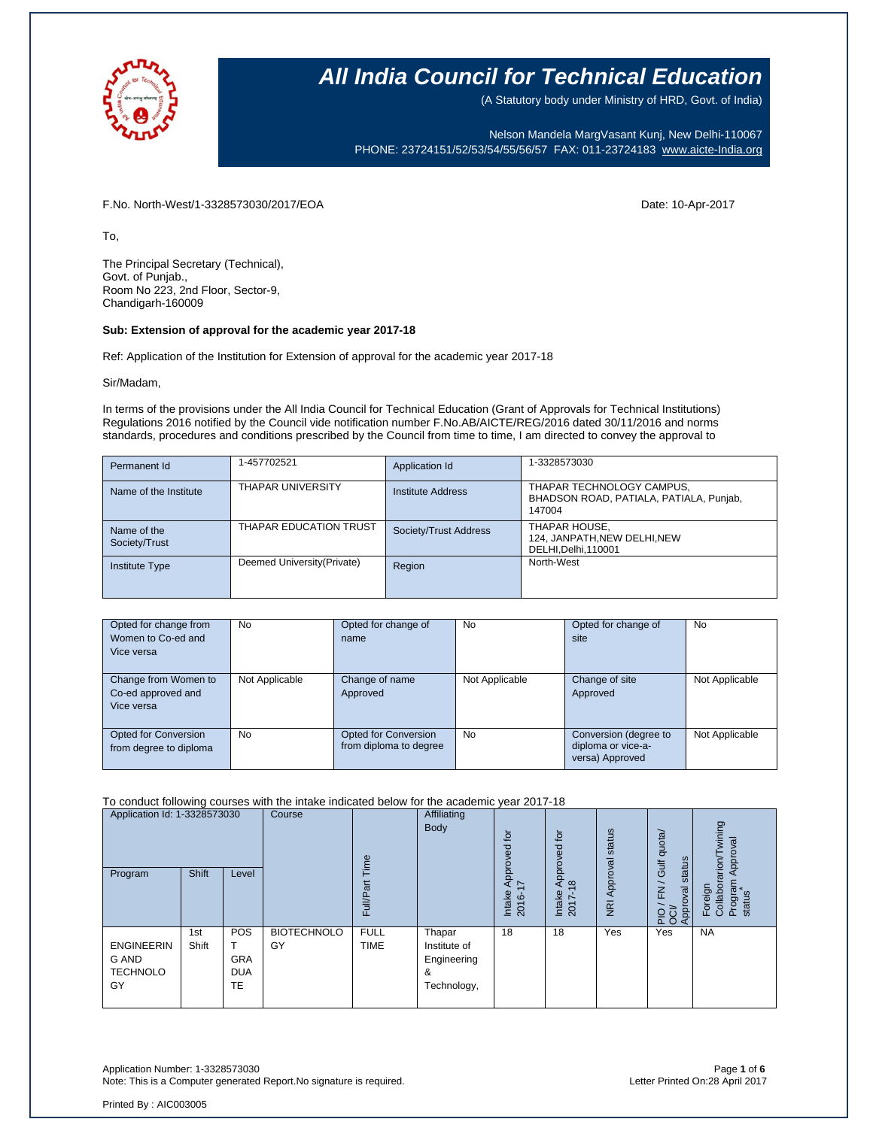

(A Statutory body under Ministry of HRD, Govt. of India)

Nelson Mandela MargVasant Kunj, New Delhi-110067 PHONE: 23724151/52/53/54/55/56/57 FAX: 011-23724183 [www.aicte-India.org](http://www.aicte-india.org/)

F.No. North-West/1-3328573030/2017/EOA Date: 10-Apr-2017

To,

The Principal Secretary (Technical), Govt. of Punjab., Room No 223, 2nd Floor, Sector-9, Chandigarh-160009

#### **Sub: Extension of approval for the academic year 2017-18**

Ref: Application of the Institution for Extension of approval for the academic year 2017-18

Sir/Madam,

In terms of the provisions under the All India Council for Technical Education (Grant of Approvals for Technical Institutions) Regulations 2016 notified by the Council vide notification number F.No.AB/AICTE/REG/2016 dated 30/11/2016 and norms standards, procedures and conditions prescribed by the Council from time to time, I am directed to convey the approval to

| Permanent Id                 | 1-457702521                   | Application Id        | 1-3328573030                                                                   |
|------------------------------|-------------------------------|-----------------------|--------------------------------------------------------------------------------|
| Name of the Institute        | THAPAR UNIVERSITY             | Institute Address     | THAPAR TECHNOLOGY CAMPUS,<br>BHADSON ROAD, PATIALA, PATIALA, Punjab,<br>147004 |
| Name of the<br>Society/Trust | <b>THAPAR EDUCATION TRUST</b> | Society/Trust Address | THAPAR HOUSE,<br>124, JANPATH, NEW DELHI, NEW<br>DELHI, Delhi, 110001          |
| <b>Institute Type</b>        | Deemed University (Private)   | Region                | North-West                                                                     |

| Opted for change from<br>Women to Co-ed and<br>Vice versa | No             | Opted for change of<br>name                           | <b>No</b>      | Opted for change of<br>site                                    | No             |
|-----------------------------------------------------------|----------------|-------------------------------------------------------|----------------|----------------------------------------------------------------|----------------|
| Change from Women to<br>Co-ed approved and<br>Vice versa  | Not Applicable | Change of name<br>Approved                            | Not Applicable | Change of site<br>Approved                                     | Not Applicable |
| Opted for Conversion<br>from degree to diploma            | No             | <b>Opted for Conversion</b><br>from diploma to degree | <b>No</b>      | Conversion (degree to<br>diploma or vice-a-<br>versa) Approved | Not Applicable |

#### To conduct following courses with the intake indicated below for the academic year 2017-18

| Application Id: 1-3328573030<br>Program             | <b>Shift</b> | Level                                        | Course                   | jme<br>Full/Par            | Affiliating<br>Body                                       | tō<br>Approved<br>∼<br>Intake<br>$\circ$<br>201 | tō<br>roved<br>ā<br>$\infty$<br>∢<br>Intake<br>2017- | status<br>Approval<br>$\overline{R}$ | Gulf quota/<br>status<br>$\overline{\phantom{0}}$<br>준<br>pproval<br>$Q\overline{Q}$<br>$\bar{d}$<br>$\overline{a}$ $\overline{o}$ | wining<br>Approval<br>rarion/<br>Program<br>Foreign<br>Collabor<br>status |
|-----------------------------------------------------|--------------|----------------------------------------------|--------------------------|----------------------------|-----------------------------------------------------------|-------------------------------------------------|------------------------------------------------------|--------------------------------------|------------------------------------------------------------------------------------------------------------------------------------|---------------------------------------------------------------------------|
| <b>ENGINEERIN</b><br>G AND<br><b>TECHNOLO</b><br>GY | 1st<br>Shift | POS<br><b>GRA</b><br><b>DUA</b><br><b>TE</b> | <b>BIOTECHNOLO</b><br>GY | <b>FULL</b><br><b>TIME</b> | Thapar<br>Institute of<br>Engineering<br>&<br>Technology, | 18                                              | 18                                                   | Yes                                  | Yes                                                                                                                                | <b>NA</b>                                                                 |

Application Number: 1-3328573030<br>Note: This is a Computer generated Report.No signature is required.<br>Letter Printed On:28 April 2017 Note: This is a Computer generated Report.No signature is required.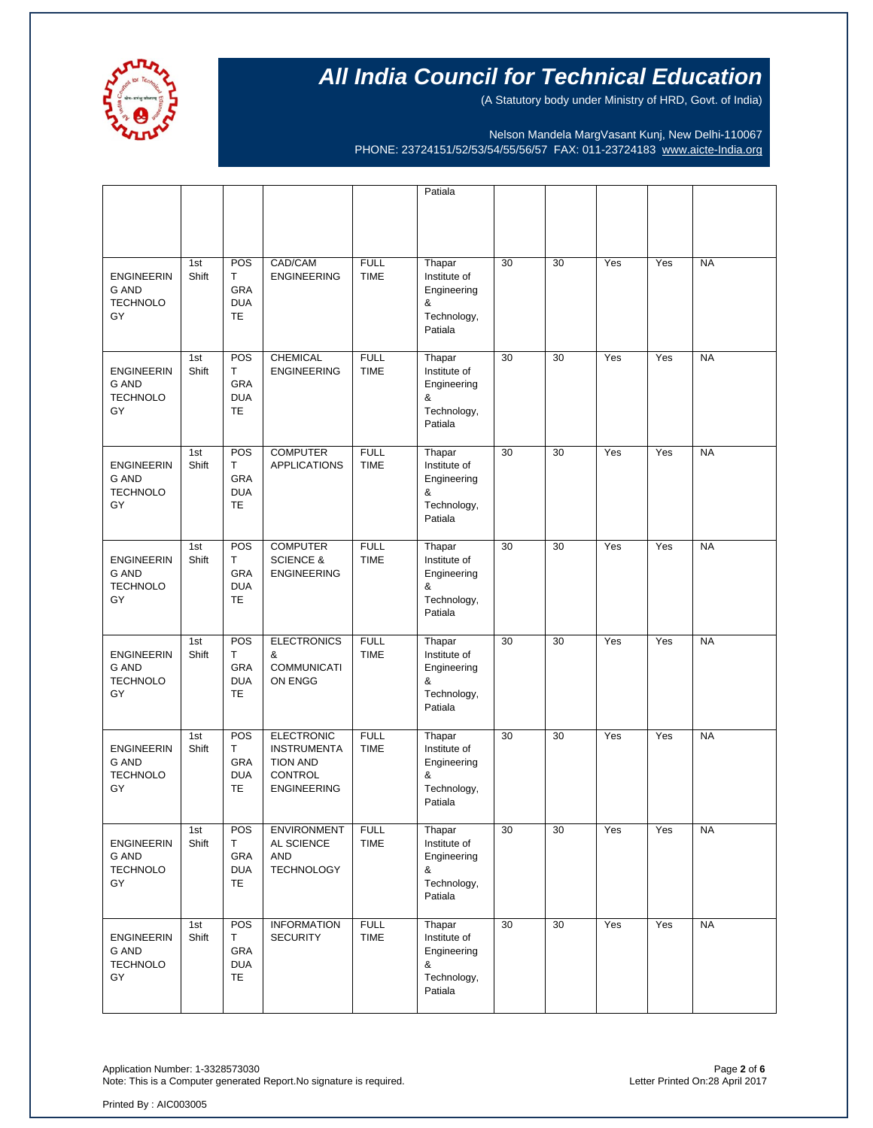

(A Statutory body under Ministry of HRD, Govt. of India)

Nelson Mandela MargVasant Kunj, New Delhi-110067 PHONE: 23724151/52/53/54/55/56/57 FAX: 011-23724183 [www.aicte-India.org](http://www.aicte-india.org/)

|                                                            |              |                                                   |                                                                                                    |                            | Patiala                                                              |    |    |     |     |           |
|------------------------------------------------------------|--------------|---------------------------------------------------|----------------------------------------------------------------------------------------------------|----------------------------|----------------------------------------------------------------------|----|----|-----|-----|-----------|
|                                                            |              |                                                   |                                                                                                    |                            |                                                                      |    |    |     |     |           |
| <b>ENGINEERIN</b><br><b>G AND</b><br><b>TECHNOLO</b><br>GY | 1st<br>Shift | POS<br>T<br><b>GRA</b><br><b>DUA</b><br>TE        | CAD/CAM<br><b>ENGINEERING</b>                                                                      | <b>FULL</b><br><b>TIME</b> | Thapar<br>Institute of<br>Engineering<br>&<br>Technology,<br>Patiala | 30 | 30 | Yes | Yes | <b>NA</b> |
| <b>ENGINEERIN</b><br><b>G AND</b><br><b>TECHNOLO</b><br>GY | 1st<br>Shift | <b>POS</b><br>T<br><b>GRA</b><br><b>DUA</b><br>TE | <b>CHEMICAL</b><br><b>ENGINEERING</b>                                                              | <b>FULL</b><br><b>TIME</b> | Thapar<br>Institute of<br>Engineering<br>&<br>Technology,<br>Patiala | 30 | 30 | Yes | Yes | <b>NA</b> |
| <b>ENGINEERIN</b><br><b>G AND</b><br><b>TECHNOLO</b><br>GY | 1st<br>Shift | POS<br>т<br>GRA<br><b>DUA</b><br><b>TE</b>        | <b>COMPUTER</b><br><b>APPLICATIONS</b>                                                             | <b>FULL</b><br><b>TIME</b> | Thapar<br>Institute of<br>Engineering<br>&<br>Technology,<br>Patiala | 30 | 30 | Yes | Yes | <b>NA</b> |
| <b>ENGINEERIN</b><br><b>G AND</b><br><b>TECHNOLO</b><br>GY | 1st<br>Shift | POS<br>Τ<br>GRA<br><b>DUA</b><br><b>TE</b>        | <b>COMPUTER</b><br><b>SCIENCE &amp;</b><br><b>ENGINEERING</b>                                      | <b>FULL</b><br><b>TIME</b> | Thapar<br>Institute of<br>Engineering<br>&<br>Technology,<br>Patiala | 30 | 30 | Yes | Yes | <b>NA</b> |
| <b>ENGINEERIN</b><br><b>G AND</b><br><b>TECHNOLO</b><br>GY | 1st<br>Shift | POS<br>Τ<br><b>GRA</b><br><b>DUA</b><br>TE        | <b>ELECTRONICS</b><br>&<br><b>COMMUNICATI</b><br>ON ENGG                                           | <b>FULL</b><br><b>TIME</b> | Thapar<br>Institute of<br>Engineering<br>&<br>Technology,<br>Patiala | 30 | 30 | Yes | Yes | <b>NA</b> |
| <b>ENGINEERIN</b><br><b>G AND</b><br><b>TECHNOLO</b><br>GY | 1st<br>Shift | POS<br>T.<br>GRA<br><b>DUA</b><br>TE              | <b>ELECTRONIC</b><br><b>INSTRUMENTA</b><br><b>TION AND</b><br><b>CONTROL</b><br><b>ENGINEERING</b> | <b>FULL</b><br><b>TIME</b> | Thapar<br>Institute of<br>Engineering<br>&<br>Technology,<br>Patiala | 30 | 30 | Yes | Yes | <b>NA</b> |
| <b>ENGINEERIN</b><br><b>G AND</b><br><b>TECHNOLO</b><br>GY | 1st<br>Shift | POS<br>т<br>GRA<br><b>DUA</b><br><b>TE</b>        | <b>ENVIRONMENT</b><br>AL SCIENCE<br>AND<br><b>TECHNOLOGY</b>                                       | <b>FULL</b><br>TIME        | Thapar<br>Institute of<br>Engineering<br>&<br>Technology,<br>Patiala | 30 | 30 | Yes | Yes | <b>NA</b> |
| <b>ENGINEERIN</b><br><b>G AND</b><br><b>TECHNOLO</b><br>GY | 1st<br>Shift | POS<br>T<br>GRA<br><b>DUA</b><br><b>TE</b>        | <b>INFORMATION</b><br><b>SECURITY</b>                                                              | <b>FULL</b><br>TIME        | Thapar<br>Institute of<br>Engineering<br>&<br>Technology,<br>Patiala | 30 | 30 | Yes | Yes | <b>NA</b> |

Application Number: 1-3328573030<br>Note: This is a Computer generated Report.No signature is required.<br>Phote: This is a Computer generated Report.No signature is required. Note: This is a Computer generated Report.No signature is required.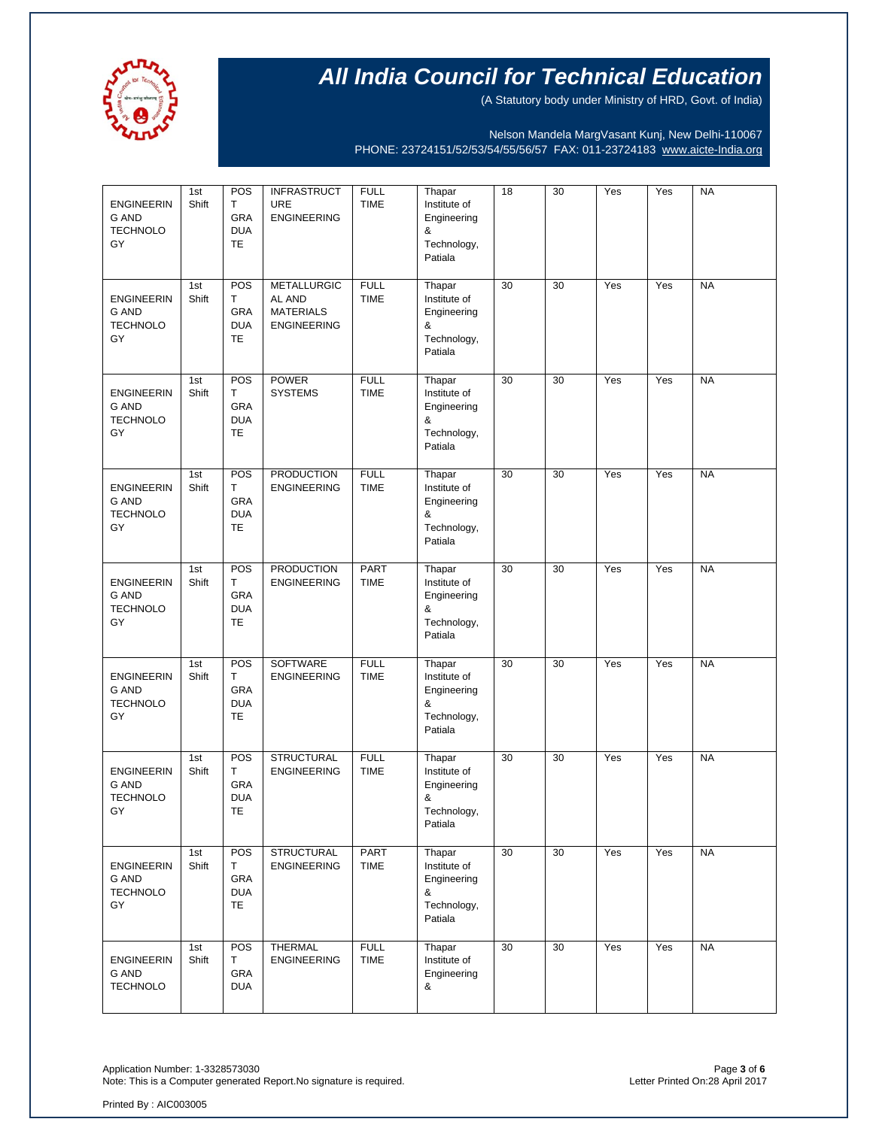

(A Statutory body under Ministry of HRD, Govt. of India)

Nelson Mandela MargVasant Kunj, New Delhi-110067 PHONE: 23724151/52/53/54/55/56/57 FAX: 011-23724183 [www.aicte-India.org](http://www.aicte-india.org/)

| <b>ENGINEERIN</b><br><b>G AND</b><br><b>TECHNOLO</b><br>GY | 1st<br>Shift | POS<br>T.<br>GRA<br><b>DUA</b><br>TE        | <b>INFRASTRUCT</b><br><b>URE</b><br><b>ENGINEERING</b>                 | <b>FULL</b><br><b>TIME</b> | Thapar<br>Institute of<br>Engineering<br>&<br>Technology,<br>Patiala | 18 | 30 | Yes | Yes | <b>NA</b> |
|------------------------------------------------------------|--------------|---------------------------------------------|------------------------------------------------------------------------|----------------------------|----------------------------------------------------------------------|----|----|-----|-----|-----------|
| <b>ENGINEERIN</b><br><b>G AND</b><br><b>TECHNOLO</b><br>GY | 1st<br>Shift | POS<br>T.<br>GRA<br><b>DUA</b><br><b>TE</b> | <b>METALLURGIC</b><br>AL AND<br><b>MATERIALS</b><br><b>ENGINEERING</b> | <b>FULL</b><br><b>TIME</b> | Thapar<br>Institute of<br>Engineering<br>&<br>Technology,<br>Patiala | 30 | 30 | Yes | Yes | <b>NA</b> |
| <b>ENGINEERIN</b><br><b>G AND</b><br><b>TECHNOLO</b><br>GY | 1st<br>Shift | POS<br>T<br>GRA<br><b>DUA</b><br><b>TE</b>  | <b>POWER</b><br><b>SYSTEMS</b>                                         | <b>FULL</b><br><b>TIME</b> | Thapar<br>Institute of<br>Engineering<br>&<br>Technology,<br>Patiala | 30 | 30 | Yes | Yes | <b>NA</b> |
| <b>ENGINEERIN</b><br><b>G AND</b><br><b>TECHNOLO</b><br>GY | 1st<br>Shift | POS<br>Т<br>GRA<br><b>DUA</b><br>TE         | <b>PRODUCTION</b><br><b>ENGINEERING</b>                                | <b>FULL</b><br><b>TIME</b> | Thapar<br>Institute of<br>Engineering<br>&<br>Technology,<br>Patiala | 30 | 30 | Yes | Yes | <b>NA</b> |
| <b>ENGINEERIN</b><br>G AND<br><b>TECHNOLO</b><br>GY        | 1st<br>Shift | POS<br>T.<br>GRA<br><b>DUA</b><br>TE        | <b>PRODUCTION</b><br><b>ENGINEERING</b>                                | <b>PART</b><br><b>TIME</b> | Thapar<br>Institute of<br>Engineering<br>&<br>Technology,<br>Patiala | 30 | 30 | Yes | Yes | <b>NA</b> |
| <b>ENGINEERIN</b><br><b>G AND</b><br><b>TECHNOLO</b><br>GY | 1st<br>Shift | POS<br>T<br>GRA<br><b>DUA</b><br>TE         | SOFTWARE<br><b>ENGINEERING</b>                                         | <b>FULL</b><br><b>TIME</b> | Thapar<br>Institute of<br>Engineering<br>&<br>Technology,<br>Patiala | 30 | 30 | Yes | Yes | <b>NA</b> |
| <b>ENGINEERIN</b><br><b>G AND</b><br><b>TECHNOLO</b><br>GY | 1st<br>Shift | POS<br>Т<br>GRA<br><b>DUA</b><br>TE         | <b>STRUCTURAL</b><br><b>ENGINEERING</b>                                | <b>FULL</b><br><b>TIME</b> | Thapar<br>Institute of<br>Engineering<br>&<br>Technology,<br>Patiala | 30 | 30 | Yes | Yes | <b>NA</b> |
| <b>ENGINEERIN</b><br><b>G AND</b><br><b>TECHNOLO</b><br>GY | 1st<br>Shift | POS<br>Т<br>GRA<br><b>DUA</b><br><b>TE</b>  | <b>STRUCTURAL</b><br><b>ENGINEERING</b>                                | PART<br><b>TIME</b>        | Thapar<br>Institute of<br>Engineering<br>&<br>Technology,<br>Patiala | 30 | 30 | Yes | Yes | <b>NA</b> |
| <b>ENGINEERIN</b><br><b>G AND</b><br><b>TECHNOLO</b>       | 1st<br>Shift | POS<br>Т<br>GRA<br><b>DUA</b>               | <b>THERMAL</b><br><b>ENGINEERING</b>                                   | <b>FULL</b><br><b>TIME</b> | Thapar<br>Institute of<br>Engineering<br>&                           | 30 | 30 | Yes | Yes | <b>NA</b> |

Application Number: 1-3328573030<br>Note: This is a Computer generated Report.No signature is required.<br>Phote: This is a Computer generated Report.No signature is required. Note: This is a Computer generated Report.No signature is required.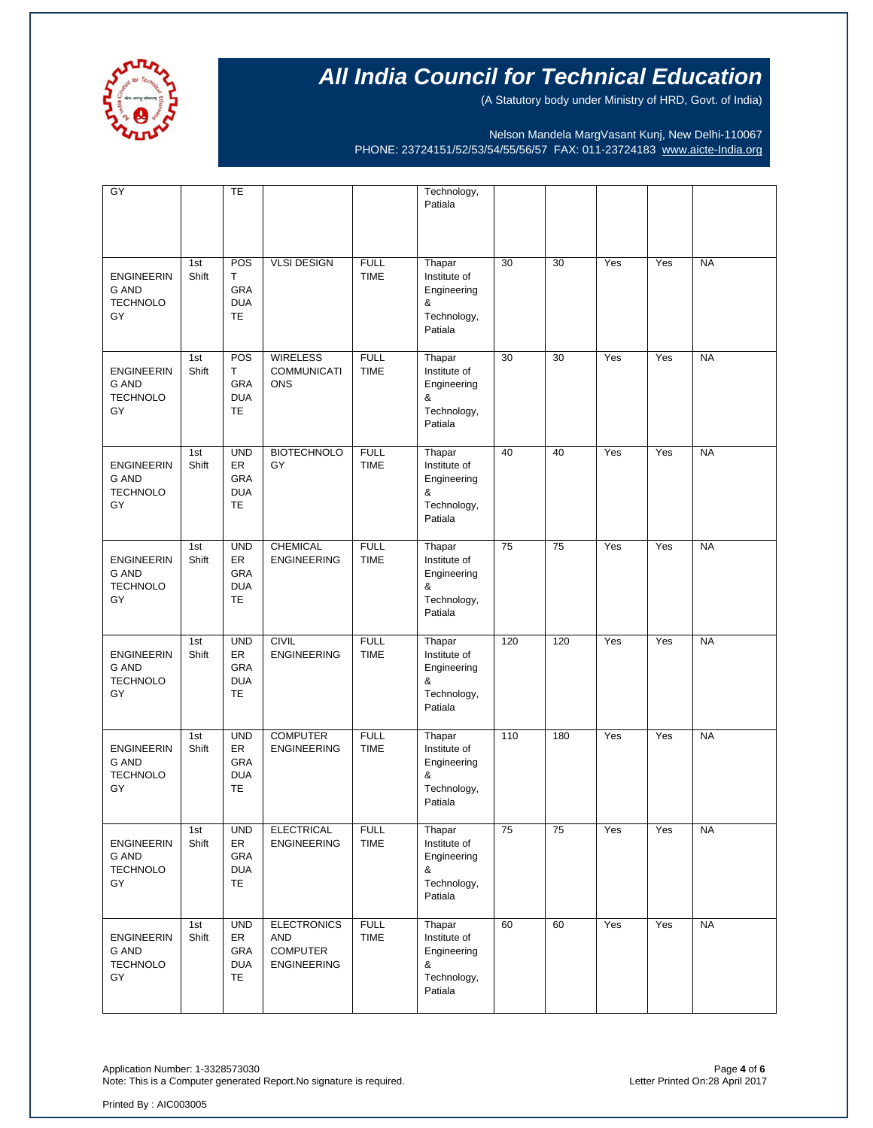

(A Statutory body under Ministry of HRD, Govt. of India)

Nelson Mandela MargVasant Kunj, New Delhi-110067 PHONE: 23724151/52/53/54/55/56/57 FAX: 011-23724183 [www.aicte-India.org](http://www.aicte-india.org/)

| GY                                                         |              | TE                                                 |                                                                    |                            | Technology,<br>Patiala                                               |     |     |     |     |           |
|------------------------------------------------------------|--------------|----------------------------------------------------|--------------------------------------------------------------------|----------------------------|----------------------------------------------------------------------|-----|-----|-----|-----|-----------|
| <b>ENGINEERIN</b><br><b>G AND</b><br><b>TECHNOLO</b><br>GY | 1st<br>Shift | POS<br>Τ<br>GRA<br><b>DUA</b><br><b>TE</b>         | <b>VLSI DESIGN</b>                                                 | <b>FULL</b><br><b>TIME</b> | Thapar<br>Institute of<br>Engineering<br>&<br>Technology,<br>Patiala | 30  | 30  | Yes | Yes | <b>NA</b> |
| <b>ENGINEERIN</b><br><b>G AND</b><br><b>TECHNOLO</b><br>GY | 1st<br>Shift | POS<br>т<br>GRA<br><b>DUA</b><br>TE                | <b>WIRELESS</b><br><b>COMMUNICATI</b><br><b>ONS</b>                | <b>FULL</b><br><b>TIME</b> | Thapar<br>Institute of<br>Engineering<br>&<br>Technology,<br>Patiala | 30  | 30  | Yes | Yes | <b>NA</b> |
| <b>ENGINEERIN</b><br><b>G AND</b><br><b>TECHNOLO</b><br>GY | 1st<br>Shift | <b>UND</b><br>ER<br>GRA<br><b>DUA</b><br>TE        | <b>BIOTECHNOLO</b><br>GY                                           | <b>FULL</b><br><b>TIME</b> | Thapar<br>Institute of<br>Engineering<br>&<br>Technology,<br>Patiala | 40  | 40  | Yes | Yes | <b>NA</b> |
| <b>ENGINEERIN</b><br><b>G AND</b><br><b>TECHNOLO</b><br>GY | 1st<br>Shift | <b>UND</b><br>ER<br>GRA<br><b>DUA</b><br><b>TE</b> | <b>CHEMICAL</b><br><b>ENGINEERING</b>                              | <b>FULL</b><br><b>TIME</b> | Thapar<br>Institute of<br>Engineering<br>&<br>Technology,<br>Patiala | 75  | 75  | Yes | Yes | <b>NA</b> |
| <b>ENGINEERIN</b><br><b>G AND</b><br><b>TECHNOLO</b><br>GY | 1st<br>Shift | <b>UND</b><br>ER<br>GRA<br><b>DUA</b><br>TE        | <b>CIVIL</b><br><b>ENGINEERING</b>                                 | <b>FULL</b><br><b>TIME</b> | Thapar<br>Institute of<br>Engineering<br>&<br>Technology,<br>Patiala | 120 | 120 | Yes | Yes | <b>NA</b> |
| <b>ENGINEERIN</b><br><b>G AND</b><br><b>TECHNOLO</b><br>GY | 1st<br>Shift | <b>UND</b><br>ER<br>GRA<br><b>DUA</b><br>TE        | <b>COMPUTER</b><br><b>ENGINEERING</b>                              | <b>FULL</b><br><b>TIME</b> | Thapar<br>Institute of<br>Engineering<br>&<br>Technology,<br>Patiala | 110 | 180 | Yes | Yes | <b>NA</b> |
| <b>ENGINEERIN</b><br>G AND<br><b>TECHNOLO</b><br>GY        | 1st<br>Shift | <b>UND</b><br>ER<br>GRA<br><b>DUA</b><br><b>TE</b> | <b>ELECTRICAL</b><br><b>ENGINEERING</b>                            | <b>FULL</b><br><b>TIME</b> | Thapar<br>Institute of<br>Engineering<br>&<br>Technology,<br>Patiala | 75  | 75  | Yes | Yes | <b>NA</b> |
| <b>ENGINEERIN</b><br><b>G AND</b><br><b>TECHNOLO</b><br>GY | 1st<br>Shift | <b>UND</b><br>ER<br>GRA<br><b>DUA</b><br>TE        | <b>ELECTRONICS</b><br>AND<br><b>COMPUTER</b><br><b>ENGINEERING</b> | <b>FULL</b><br>TIME        | Thapar<br>Institute of<br>Engineering<br>&<br>Technology,<br>Patiala | 60  | 60  | Yes | Yes | <b>NA</b> |

Application Number: 1-3328573030<br>Note: This is a Computer generated Report.No signature is required.<br>Phote: This is a Computer generated Report.No signature is required. Note: This is a Computer generated Report.No signature is required.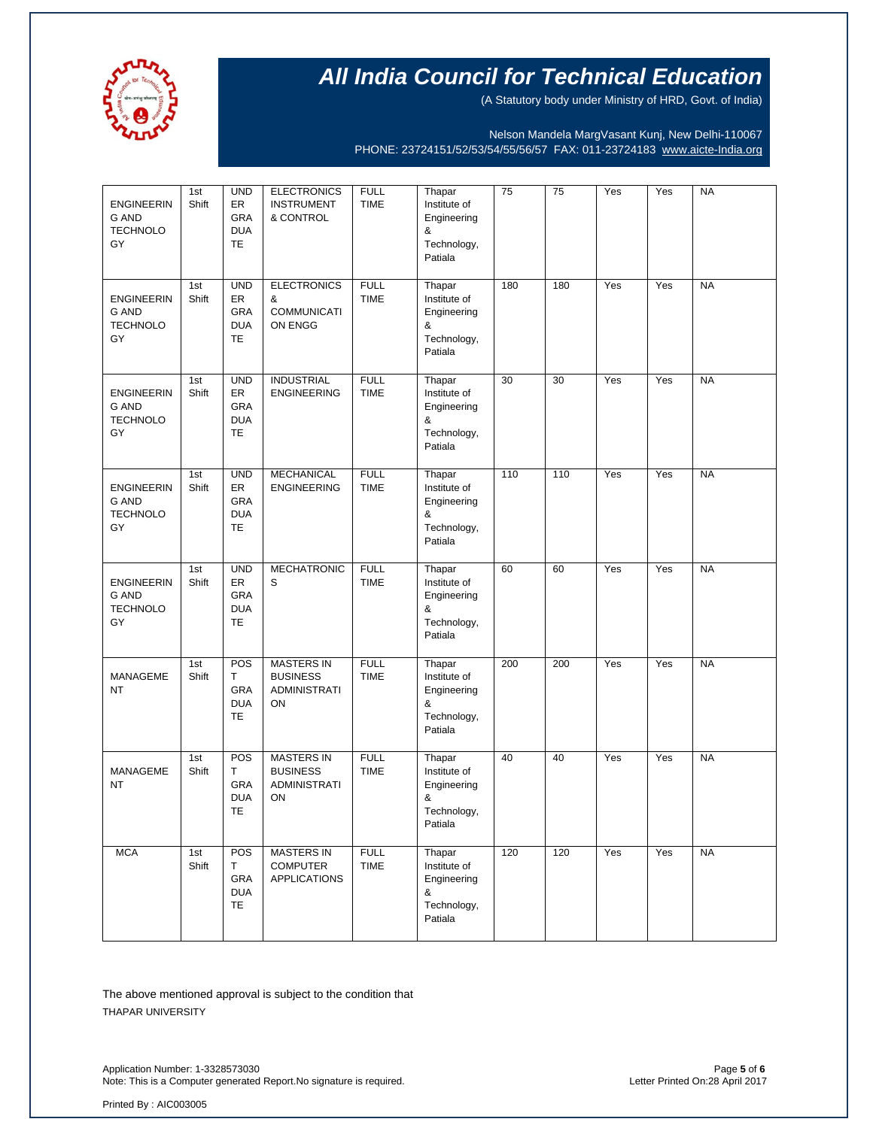

(A Statutory body under Ministry of HRD, Govt. of India)

Nelson Mandela MargVasant Kunj, New Delhi-110067 PHONE: 23724151/52/53/54/55/56/57 FAX: 011-23724183 [www.aicte-India.org](http://www.aicte-india.org/)

| <b>ENGINEERIN</b><br><b>G AND</b><br><b>TECHNOLO</b><br>GY | 1st<br>Shift | <b>UND</b><br>ER<br><b>GRA</b><br><b>DUA</b><br>TE        | <b>ELECTRONICS</b><br><b>INSTRUMENT</b><br>& CONTROL              | <b>FULL</b><br><b>TIME</b> | Thapar<br>Institute of<br>Engineering<br>&<br>Technology,<br>Patiala | 75  | 75  | Yes              | Yes | <b>NA</b> |
|------------------------------------------------------------|--------------|-----------------------------------------------------------|-------------------------------------------------------------------|----------------------------|----------------------------------------------------------------------|-----|-----|------------------|-----|-----------|
| <b>ENGINEERIN</b><br><b>G AND</b><br><b>TECHNOLO</b><br>GY | 1st<br>Shift | <b>UND</b><br>ER<br>GRA<br><b>DUA</b><br><b>TE</b>        | <b>ELECTRONICS</b><br>&<br><b>COMMUNICATI</b><br>ON ENGG          | <b>FULL</b><br><b>TIME</b> | Thapar<br>Institute of<br>Engineering<br>&<br>Technology,<br>Patiala | 180 | 180 | Yes              | Yes | <b>NA</b> |
| <b>ENGINEERIN</b><br>G AND<br><b>TECHNOLO</b><br>GY        | 1st<br>Shift | <b>UND</b><br>ER<br><b>GRA</b><br><b>DUA</b><br><b>TE</b> | <b>INDUSTRIAL</b><br><b>ENGINEERING</b>                           | <b>FULL</b><br><b>TIME</b> | Thapar<br>Institute of<br>Engineering<br>&<br>Technology,<br>Patiala | 30  | 30  | Yes              | Yes | <b>NA</b> |
| <b>ENGINEERIN</b><br><b>G AND</b><br><b>TECHNOLO</b><br>GY | 1st<br>Shift | <b>UND</b><br>ER<br>GRA<br><b>DUA</b><br>TE               | <b>MECHANICAL</b><br><b>ENGINEERING</b>                           | <b>FULL</b><br><b>TIME</b> | Thapar<br>Institute of<br>Engineering<br>&<br>Technology,<br>Patiala | 110 | 110 | Yes              | Yes | <b>NA</b> |
| <b>ENGINEERIN</b><br><b>G AND</b><br><b>TECHNOLO</b><br>GY | 1st<br>Shift | <b>UND</b><br>ER<br>GRA<br><b>DUA</b><br>TE               | <b>MECHATRONIC</b><br>S                                           | <b>FULL</b><br><b>TIME</b> | Thapar<br>Institute of<br>Engineering<br>&<br>Technology,<br>Patiala | 60  | 60  | Yes              | Yes | <b>NA</b> |
| MANAGEME<br><b>NT</b>                                      | 1st<br>Shift | POS<br>T<br>GRA<br><b>DUA</b><br>TE                       | <b>MASTERS IN</b><br><b>BUSINESS</b><br><b>ADMINISTRATI</b><br>ON | <b>FULL</b><br>TIME        | Thapar<br>Institute of<br>Engineering<br>&<br>Technology,<br>Patiala | 200 | 200 | $\overline{Yes}$ | Yes | <b>NA</b> |
| MANAGEME<br>NT                                             | 1st<br>Shift | POS<br>Т<br><b>GRA</b><br><b>DUA</b><br><b>TE</b>         | <b>MASTERS IN</b><br><b>BUSINESS</b><br><b>ADMINISTRATI</b><br>ON | <b>FULL</b><br>TIME        | Thapar<br>Institute of<br>Engineering<br>&<br>Technology,<br>Patiala | 40  | 40  | Yes              | Yes | <b>NA</b> |
| <b>MCA</b>                                                 | 1st<br>Shift | POS<br>т<br>GRA<br><b>DUA</b><br>TE                       | <b>MASTERS IN</b><br><b>COMPUTER</b><br><b>APPLICATIONS</b>       | <b>FULL</b><br><b>TIME</b> | Thapar<br>Institute of<br>Engineering<br>&<br>Technology,<br>Patiala | 120 | 120 | Yes              | Yes | <b>NA</b> |

The above mentioned approval is subject to the condition that THAPAR UNIVERSITY

Application Number: 1-3328573030<br>Note: This is a Computer generated Report.No signature is required.<br>Physical particles are also a primid on:28 April 2017 Note: This is a Computer generated Report.No signature is required.